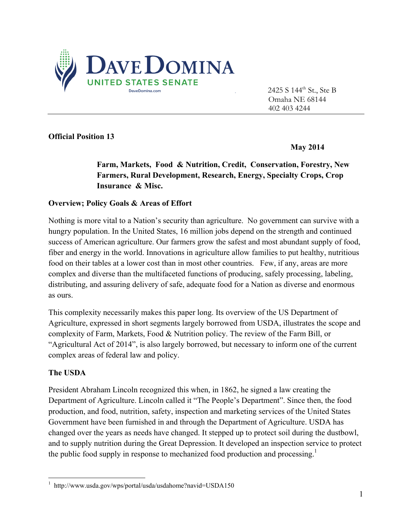

2425 S 144<sup>th</sup> St., Ste B Omaha NE 68144 402 403 4244

## **Official Position 13**

 **May 2014** 

**Farm, Markets, Food & Nutrition, Credit, Conservation, Forestry, New Farmers, Rural Development, Research, Energy, Specialty Crops, Crop Insurance & Misc.** 

## **Overview; Policy Goals & Areas of Effort**

Nothing is more vital to a Nation's security than agriculture. No government can survive with a hungry population. In the United States, 16 million jobs depend on the strength and continued success of American agriculture. Our farmers grow the safest and most abundant supply of food, fiber and energy in the world. Innovations in agriculture allow families to put healthy, nutritious food on their tables at a lower cost than in most other countries. Few, if any, areas are more complex and diverse than the multifaceted functions of producing, safely processing, labeling, distributing, and assuring delivery of safe, adequate food for a Nation as diverse and enormous as ours.

This complexity necessarily makes this paper long. Its overview of the US Department of Agriculture, expressed in short segments largely borrowed from USDA, illustrates the scope and complexity of Farm, Markets, Food & Nutrition policy. The review of the Farm Bill, or "Agricultural Act of 2014", is also largely borrowed, but necessary to inform one of the current complex areas of federal law and policy.

#### **The USDA**

President Abraham Lincoln recognized this when, in 1862, he signed a law creating the Department of Agriculture. Lincoln called it "The People's Department". Since then, the food production, and food, nutrition, safety, inspection and marketing services of the United States Government have been furnished in and through the Department of Agriculture. USDA has changed over the years as needs have changed. It stepped up to protect soil during the dustbowl, and to supply nutrition during the Great Depression. It developed an inspection service to protect the public food supply in response to mechanized food production and processing.<sup>1</sup>

 1 http://www.usda.gov/wps/portal/usda/usdahome?navid=USDA150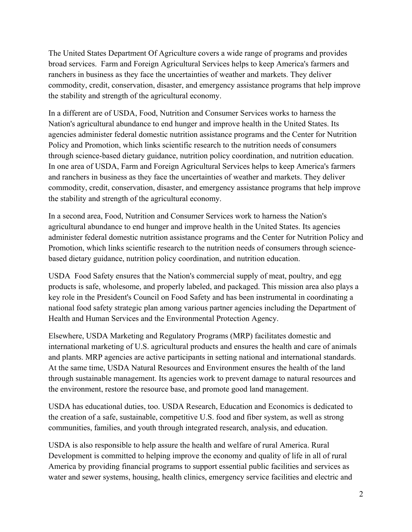The United States Department Of Agriculture covers a wide range of programs and provides broad services. Farm and Foreign Agricultural Services helps to keep America's farmers and ranchers in business as they face the uncertainties of weather and markets. They deliver commodity, credit, conservation, disaster, and emergency assistance programs that help improve the stability and strength of the agricultural economy.

In a different are of USDA, Food, Nutrition and Consumer Services works to harness the Nation's agricultural abundance to end hunger and improve health in the United States. Its agencies administer federal domestic nutrition assistance programs and the Center for Nutrition Policy and Promotion, which links scientific research to the nutrition needs of consumers through science-based dietary guidance, nutrition policy coordination, and nutrition education. In one area of USDA, Farm and Foreign Agricultural Services helps to keep America's farmers and ranchers in business as they face the uncertainties of weather and markets. They deliver commodity, credit, conservation, disaster, and emergency assistance programs that help improve the stability and strength of the agricultural economy.

In a second area, Food, Nutrition and Consumer Services work to harness the Nation's agricultural abundance to end hunger and improve health in the United States. Its agencies administer federal domestic nutrition assistance programs and the Center for Nutrition Policy and Promotion, which links scientific research to the nutrition needs of consumers through sciencebased dietary guidance, nutrition policy coordination, and nutrition education.

USDA Food Safety ensures that the Nation's commercial supply of meat, poultry, and egg products is safe, wholesome, and properly labeled, and packaged. This mission area also plays a key role in the President's Council on Food Safety and has been instrumental in coordinating a national food safety strategic plan among various partner agencies including the Department of Health and Human Services and the Environmental Protection Agency.

Elsewhere, USDA Marketing and Regulatory Programs (MRP) facilitates domestic and international marketing of U.S. agricultural products and ensures the health and care of animals and plants. MRP agencies are active participants in setting national and international standards. At the same time, USDA Natural Resources and Environment ensures the health of the land through sustainable management. Its agencies work to prevent damage to natural resources and the environment, restore the resource base, and promote good land management.

USDA has educational duties, too. USDA Research, Education and Economics is dedicated to the creation of a safe, sustainable, competitive U.S. food and fiber system, as well as strong communities, families, and youth through integrated research, analysis, and education.

USDA is also responsible to help assure the health and welfare of rural America. Rural Development is committed to helping improve the economy and quality of life in all of rural America by providing financial programs to support essential public facilities and services as water and sewer systems, housing, health clinics, emergency service facilities and electric and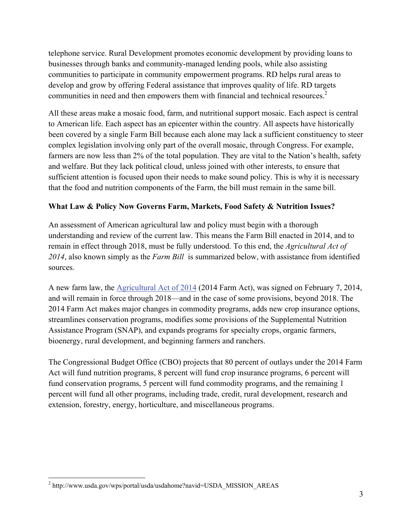telephone service. Rural Development promotes economic development by providing loans to businesses through banks and community-managed lending pools, while also assisting communities to participate in community empowerment programs. RD helps rural areas to develop and grow by offering Federal assistance that improves quality of life. RD targets communities in need and then empowers them with financial and technical resources.<sup>2</sup>

All these areas make a mosaic food, farm, and nutritional support mosaic. Each aspect is central to American life. Each aspect has an epicenter within the country. All aspects have historically been covered by a single Farm Bill because each alone may lack a sufficient constituency to steer complex legislation involving only part of the overall mosaic, through Congress. For example, farmers are now less than 2% of the total population. They are vital to the Nation's health, safety and welfare. But they lack political cloud, unless joined with other interests, to ensure that sufficient attention is focused upon their needs to make sound policy. This is why it is necessary that the food and nutrition components of the Farm, the bill must remain in the same bill.

# **What Law & Policy Now Governs Farm, Markets, Food Safety & Nutrition Issues?**

An assessment of American agricultural law and policy must begin with a thorough understanding and review of the current law. This means the Farm Bill enacted in 2014, and to remain in effect through 2018, must be fully understood. To this end, the *Agricultural Act of 2014*, also known simply as the *Farm Bill* is summarized below, with assistance from identified sources.

A new farm law, the Agricultural Act of 2014 (2014 Farm Act), was signed on February 7, 2014, and will remain in force through 2018—and in the case of some provisions, beyond 2018. The 2014 Farm Act makes major changes in commodity programs, adds new crop insurance options, streamlines conservation programs, modifies some provisions of the Supplemental Nutrition Assistance Program (SNAP), and expands programs for specialty crops, organic farmers, bioenergy, rural development, and beginning farmers and ranchers.

The Congressional Budget Office (CBO) projects that 80 percent of outlays under the 2014 Farm Act will fund nutrition programs, 8 percent will fund crop insurance programs, 6 percent will fund conservation programs, 5 percent will fund commodity programs, and the remaining 1 percent will fund all other programs, including trade, credit, rural development, research and extension, forestry, energy, horticulture, and miscellaneous programs.

 2 http://www.usda.gov/wps/portal/usda/usdahome?navid=USDA\_MISSION\_AREAS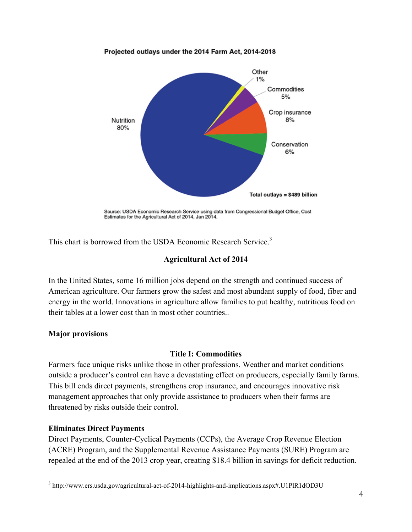#### Projected outlays under the 2014 Farm Act, 2014-2018



Source: USDA Economic Research Service using data from Congressional Budget Office, Cost Estimates for the Agricultural Act of 2014, Jan 2014.

This chart is borrowed from the USDA Economic Research Service.<sup>3</sup>

## **Agricultural Act of 2014**

In the United States, some 16 million jobs depend on the strength and continued success of American agriculture. Our farmers grow the safest and most abundant supply of food, fiber and energy in the world. Innovations in agriculture allow families to put healthy, nutritious food on their tables at a lower cost than in most other countries..

## **Major provisions**

## **Title I: Commodities**

Farmers face unique risks unlike those in other professions. Weather and market conditions outside a producer's control can have a devastating effect on producers, especially family farms. This bill ends direct payments, strengthens crop insurance, and encourages innovative risk management approaches that only provide assistance to producers when their farms are threatened by risks outside their control.

## **Eliminates Direct Payments**

1

Direct Payments, Counter-Cyclical Payments (CCPs), the Average Crop Revenue Election (ACRE) Program, and the Supplemental Revenue Assistance Payments (SURE) Program are repealed at the end of the 2013 crop year, creating \$18.4 billion in savings for deficit reduction.

<sup>&</sup>lt;sup>3</sup> http://www.ers.usda.gov/agricultural-act-of-2014-highlights-and-implications.aspx#.U1PlR1dOD3U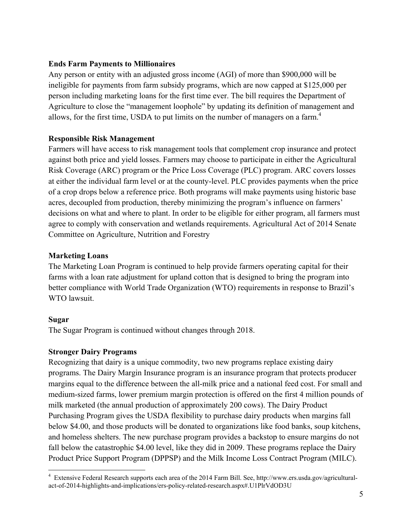## **Ends Farm Payments to Millionaires**

Any person or entity with an adjusted gross income (AGI) of more than \$900,000 will be ineligible for payments from farm subsidy programs, which are now capped at \$125,000 per person including marketing loans for the first time ever. The bill requires the Department of Agriculture to close the "management loophole" by updating its definition of management and allows, for the first time, USDA to put limits on the number of managers on a farm.<sup>4</sup>

# **Responsible Risk Management**

Farmers will have access to risk management tools that complement crop insurance and protect against both price and yield losses. Farmers may choose to participate in either the Agricultural Risk Coverage (ARC) program or the Price Loss Coverage (PLC) program. ARC covers losses at either the individual farm level or at the county-level. PLC provides payments when the price of a crop drops below a reference price. Both programs will make payments using historic base acres, decoupled from production, thereby minimizing the program's influence on farmers' decisions on what and where to plant. In order to be eligible for either program, all farmers must agree to comply with conservation and wetlands requirements. Agricultural Act of 2014 Senate Committee on Agriculture, Nutrition and Forestry

## **Marketing Loans**

The Marketing Loan Program is continued to help provide farmers operating capital for their farms with a loan rate adjustment for upland cotton that is designed to bring the program into better compliance with World Trade Organization (WTO) requirements in response to Brazil's WTO lawsuit.

# **Sugar**

The Sugar Program is continued without changes through 2018.

# **Stronger Dairy Programs**

Recognizing that dairy is a unique commodity, two new programs replace existing dairy programs. The Dairy Margin Insurance program is an insurance program that protects producer margins equal to the difference between the all-milk price and a national feed cost. For small and medium-sized farms, lower premium margin protection is offered on the first 4 million pounds of milk marketed (the annual production of approximately 200 cows). The Dairy Product Purchasing Program gives the USDA flexibility to purchase dairy products when margins fall below \$4.00, and those products will be donated to organizations like food banks, soup kitchens, and homeless shelters. The new purchase program provides a backstop to ensure margins do not fall below the catastrophic \$4.00 level, like they did in 2009. These programs replace the Dairy Product Price Support Program (DPPSP) and the Milk Income Loss Contract Program (MILC).

 $\overline{a}$ <sup>4</sup> Extensive Federal Research supports each area of the 2014 Farm Bill. See, http://www.ers.usda.gov/agriculturalact-of-2014-highlights-and-implications/ers-policy-related-research.aspx#.U1PlrVdOD3U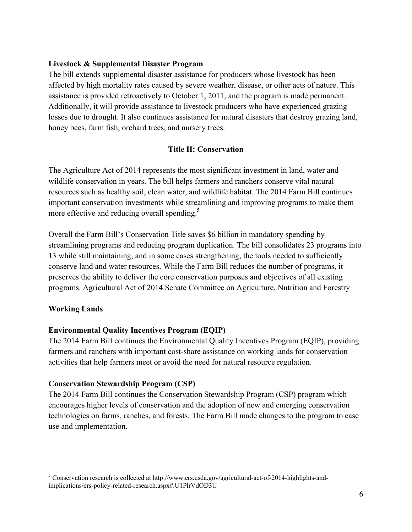## **Livestock & Supplemental Disaster Program**

The bill extends supplemental disaster assistance for producers whose livestock has been affected by high mortality rates caused by severe weather, disease, or other acts of nature. This assistance is provided retroactively to October 1, 2011, and the program is made permanent. Additionally, it will provide assistance to livestock producers who have experienced grazing losses due to drought. It also continues assistance for natural disasters that destroy grazing land, honey bees, farm fish, orchard trees, and nursery trees.

## **Title II: Conservation**

The Agriculture Act of 2014 represents the most significant investment in land, water and wildlife conservation in years. The bill helps farmers and ranchers conserve vital natural resources such as healthy soil, clean water, and wildlife habitat. The 2014 Farm Bill continues important conservation investments while streamlining and improving programs to make them more effective and reducing overall spending.<sup>5</sup>

Overall the Farm Bill's Conservation Title saves \$6 billion in mandatory spending by streamlining programs and reducing program duplication. The bill consolidates 23 programs into 13 while still maintaining, and in some cases strengthening, the tools needed to sufficiently conserve land and water resources. While the Farm Bill reduces the number of programs, it preserves the ability to deliver the core conservation purposes and objectives of all existing programs. Agricultural Act of 2014 Senate Committee on Agriculture, Nutrition and Forestry

## **Working Lands**

 $\overline{a}$ 

## **Environmental Quality Incentives Program (EQIP)**

The 2014 Farm Bill continues the Environmental Quality Incentives Program (EQIP), providing farmers and ranchers with important cost-share assistance on working lands for conservation activities that help farmers meet or avoid the need for natural resource regulation.

## **Conservation Stewardship Program (CSP)**

The 2014 Farm Bill continues the Conservation Stewardship Program (CSP) program which encourages higher levels of conservation and the adoption of new and emerging conservation technologies on farms, ranches, and forests. The Farm Bill made changes to the program to ease use and implementation.

 $5$  Conservation research is collected at http://www.ers.usda.gov/agricultural-act-of-2014-highlights-andimplications/ers-policy-related-research.aspx#.U1PlrVdOD3U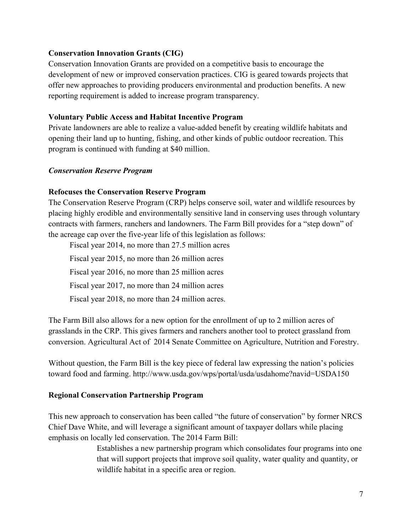## **Conservation Innovation Grants (CIG)**

Conservation Innovation Grants are provided on a competitive basis to encourage the development of new or improved conservation practices. CIG is geared towards projects that offer new approaches to providing producers environmental and production benefits. A new reporting requirement is added to increase program transparency.

## **Voluntary Public Access and Habitat Incentive Program**

Private landowners are able to realize a value-added benefit by creating wildlife habitats and opening their land up to hunting, fishing, and other kinds of public outdoor recreation. This program is continued with funding at \$40 million.

## *Conservation Reserve Program*

## **Refocuses the Conservation Reserve Program**

The Conservation Reserve Program (CRP) helps conserve soil, water and wildlife resources by placing highly erodible and environmentally sensitive land in conserving uses through voluntary contracts with farmers, ranchers and landowners. The Farm Bill provides for a "step down" of the acreage cap over the five-year life of this legislation as follows:

Fiscal year 2014, no more than 27.5 million acres Fiscal year 2015, no more than 26 million acres Fiscal year 2016, no more than 25 million acres Fiscal year 2017, no more than 24 million acres Fiscal year 2018, no more than 24 million acres.

The Farm Bill also allows for a new option for the enrollment of up to 2 million acres of grasslands in the CRP. This gives farmers and ranchers another tool to protect grassland from conversion. Agricultural Act of 2014 Senate Committee on Agriculture, Nutrition and Forestry.

Without question, the Farm Bill is the key piece of federal law expressing the nation's policies toward food and farming. http://www.usda.gov/wps/portal/usda/usdahome?navid=USDA150

# **Regional Conservation Partnership Program**

This new approach to conservation has been called "the future of conservation" by former NRCS Chief Dave White, and will leverage a significant amount of taxpayer dollars while placing emphasis on locally led conservation. The 2014 Farm Bill:

> Establishes a new partnership program which consolidates four programs into one that will support projects that improve soil quality, water quality and quantity, or wildlife habitat in a specific area or region.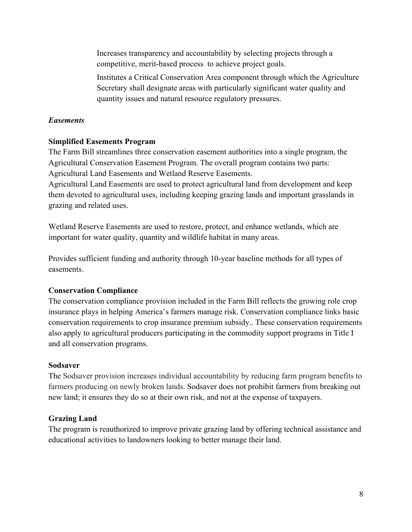Increases transparency and accountability by selecting projects through a competitive, merit-based process to achieve project goals.

Institutes a Critical Conservation Area component through which the Agriculture Secretary shall designate areas with particularly significant water quality and quantity issues and natural resource regulatory pressures.

## *Easements*

## **Simplified Easements Program**

The Farm Bill streamlines three conservation easement authorities into a single program, the Agricultural Conservation Easement Program. The overall program contains two parts: Agricultural Land Easements and Wetland Reserve Easements.

Agricultural Land Easements are used to protect agricultural land from development and keep them devoted to agricultural uses, including keeping grazing lands and important grasslands in grazing and related uses.

Wetland Reserve Easements are used to restore, protect, and enhance wetlands, which are important for water quality, quantity and wildlife habitat in many areas.

Provides sufficient funding and authority through 10-year baseline methods for all types of easements.

## **Conservation Compliance**

The conservation compliance provision included in the Farm Bill reflects the growing role crop insurance plays in helping America's farmers manage risk. Conservation compliance links basic conservation requirements to crop insurance premium subsidy.. These conservation requirements also apply to agricultural producers participating in the commodity support programs in Title I and all conservation programs.

## **Sodsaver**

The Sodsaver provision increases individual accountability by reducing farm program benefits to farmers producing on newly broken lands. Sodsaver does not prohibit farmers from breaking out new land; it ensures they do so at their own risk, and not at the expense of taxpayers.

# **Grazing Land**

The program is reauthorized to improve private grazing land by offering technical assistance and educational activities to landowners looking to better manage their land.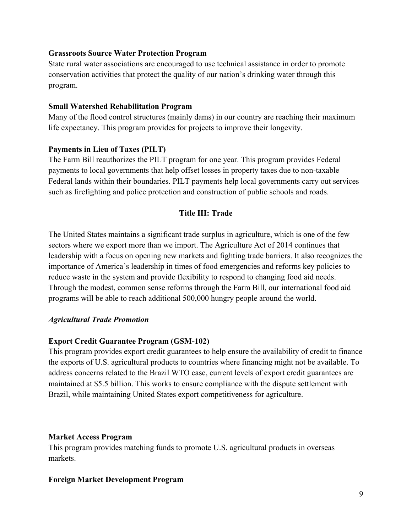## **Grassroots Source Water Protection Program**

State rural water associations are encouraged to use technical assistance in order to promote conservation activities that protect the quality of our nation's drinking water through this program.

#### **Small Watershed Rehabilitation Program**

Many of the flood control structures (mainly dams) in our country are reaching their maximum life expectancy. This program provides for projects to improve their longevity.

## **Payments in Lieu of Taxes (PILT)**

The Farm Bill reauthorizes the PILT program for one year. This program provides Federal payments to local governments that help offset losses in property taxes due to non-taxable Federal lands within their boundaries. PILT payments help local governments carry out services such as firefighting and police protection and construction of public schools and roads.

## **Title III: Trade**

The United States maintains a significant trade surplus in agriculture, which is one of the few sectors where we export more than we import. The Agriculture Act of 2014 continues that leadership with a focus on opening new markets and fighting trade barriers. It also recognizes the importance of America's leadership in times of food emergencies and reforms key policies to reduce waste in the system and provide flexibility to respond to changing food aid needs. Through the modest, common sense reforms through the Farm Bill, our international food aid programs will be able to reach additional 500,000 hungry people around the world.

## *Agricultural Trade Promotion*

## **Export Credit Guarantee Program (GSM-102)**

This program provides export credit guarantees to help ensure the availability of credit to finance the exports of U.S. agricultural products to countries where financing might not be available. To address concerns related to the Brazil WTO case, current levels of export credit guarantees are maintained at \$5.5 billion. This works to ensure compliance with the dispute settlement with Brazil, while maintaining United States export competitiveness for agriculture.

## **Market Access Program**

This program provides matching funds to promote U.S. agricultural products in overseas markets.

## **Foreign Market Development Program**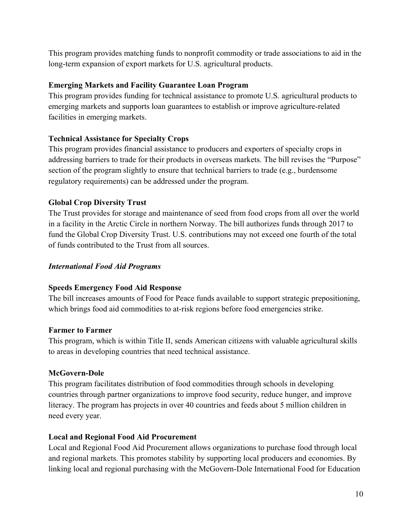This program provides matching funds to nonprofit commodity or trade associations to aid in the long-term expansion of export markets for U.S. agricultural products.

# **Emerging Markets and Facility Guarantee Loan Program**

This program provides funding for technical assistance to promote U.S. agricultural products to emerging markets and supports loan guarantees to establish or improve agriculture-related facilities in emerging markets.

# **Technical Assistance for Specialty Crops**

This program provides financial assistance to producers and exporters of specialty crops in addressing barriers to trade for their products in overseas markets. The bill revises the "Purpose" section of the program slightly to ensure that technical barriers to trade (e.g., burdensome regulatory requirements) can be addressed under the program.

## **Global Crop Diversity Trust**

The Trust provides for storage and maintenance of seed from food crops from all over the world in a facility in the Arctic Circle in northern Norway. The bill authorizes funds through 2017 to fund the Global Crop Diversity Trust. U.S. contributions may not exceed one fourth of the total of funds contributed to the Trust from all sources.

# *International Food Aid Programs*

## **Speeds Emergency Food Aid Response**

The bill increases amounts of Food for Peace funds available to support strategic prepositioning, which brings food aid commodities to at-risk regions before food emergencies strike.

## **Farmer to Farmer**

This program, which is within Title II, sends American citizens with valuable agricultural skills to areas in developing countries that need technical assistance.

# **McGovern-Dole**

This program facilitates distribution of food commodities through schools in developing countries through partner organizations to improve food security, reduce hunger, and improve literacy. The program has projects in over 40 countries and feeds about 5 million children in need every year.

## **Local and Regional Food Aid Procurement**

Local and Regional Food Aid Procurement allows organizations to purchase food through local and regional markets. This promotes stability by supporting local producers and economies. By linking local and regional purchasing with the McGovern-Dole International Food for Education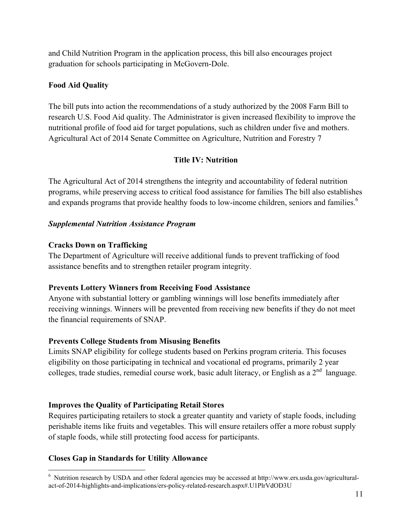and Child Nutrition Program in the application process, this bill also encourages project graduation for schools participating in McGovern-Dole.

# **Food Aid Quality**

The bill puts into action the recommendations of a study authorized by the 2008 Farm Bill to research U.S. Food Aid quality. The Administrator is given increased flexibility to improve the nutritional profile of food aid for target populations, such as children under five and mothers. Agricultural Act of 2014 Senate Committee on Agriculture, Nutrition and Forestry 7

# **Title IV: Nutrition**

The Agricultural Act of 2014 strengthens the integrity and accountability of federal nutrition programs, while preserving access to critical food assistance for families The bill also establishes and expands programs that provide healthy foods to low-income children, seniors and families.<sup>6</sup>

## *Supplemental Nutrition Assistance Program*

## **Cracks Down on Trafficking**

The Department of Agriculture will receive additional funds to prevent trafficking of food assistance benefits and to strengthen retailer program integrity.

## **Prevents Lottery Winners from Receiving Food Assistance**

Anyone with substantial lottery or gambling winnings will lose benefits immediately after receiving winnings. Winners will be prevented from receiving new benefits if they do not meet the financial requirements of SNAP.

# **Prevents College Students from Misusing Benefits**

Limits SNAP eligibility for college students based on Perkins program criteria. This focuses eligibility on those participating in technical and vocational ed programs, primarily 2 year colleges, trade studies, remedial course work, basic adult literacy, or English as a  $2<sup>nd</sup>$  language.

# **Improves the Quality of Participating Retail Stores**

Requires participating retailers to stock a greater quantity and variety of staple foods, including perishable items like fruits and vegetables. This will ensure retailers offer a more robust supply of staple foods, while still protecting food access for participants.

## **Closes Gap in Standards for Utility Allowance**

<sup>&</sup>lt;u>.</u>  $6$  Nutrition research by USDA and other federal agencies may be accessed at http://www.ers.usda.gov/agriculturalact-of-2014-highlights-and-implications/ers-policy-related-research.aspx#.U1PlrVdOD3U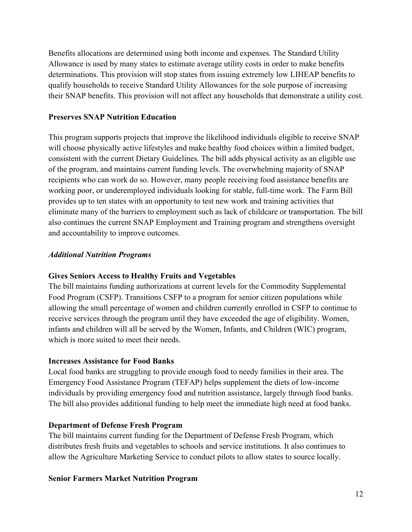Benefits allocations are determined using both income and expenses. The Standard Utility Allowance is used by many states to estimate average utility costs in order to make benefits determinations. This provision will stop states from issuing extremely low LIHEAP benefits to qualify households to receive Standard Utility Allowances for the sole purpose of increasing their SNAP benefits. This provision will not affect any households that demonstrate a utility cost.

## **Preserves SNAP Nutrition Education**

This program supports projects that improve the likelihood individuals eligible to receive SNAP will choose physically active lifestyles and make healthy food choices within a limited budget, consistent with the current Dietary Guidelines. The bill adds physical activity as an eligible use of the program, and maintains current funding levels. The overwhelming majority of SNAP recipients who can work do so. However, many people receiving food assistance benefits are working poor, or underemployed individuals looking for stable, full-time work. The Farm Bill provides up to ten states with an opportunity to test new work and training activities that eliminate many of the barriers to employment such as lack of childcare or transportation. The bill also continues the current SNAP Employment and Training program and strengthens oversight and accountability to improve outcomes.

## *Additional Nutrition Programs*

## **Gives Seniors Access to Healthy Fruits and Vegetables**

The bill maintains funding authorizations at current levels for the Commodity Supplemental Food Program (CSFP). Transitions CSFP to a program for senior citizen populations while allowing the small percentage of women and children currently enrolled in CSFP to continue to receive services through the program until they have exceeded the age of eligibility. Women, infants and children will all be served by the Women, Infants, and Children (WIC) program, which is more suited to meet their needs.

## **Increases Assistance for Food Banks**

Local food banks are struggling to provide enough food to needy families in their area. The Emergency Food Assistance Program (TEFAP) helps supplement the diets of low-income individuals by providing emergency food and nutrition assistance, largely through food banks. The bill also provides additional funding to help meet the immediate high need at food banks.

## **Department of Defense Fresh Program**

The bill maintains current funding for the Department of Defense Fresh Program, which distributes fresh fruits and vegetables to schools and service institutions. It also continues to allow the Agriculture Marketing Service to conduct pilots to allow states to source locally.

## **Senior Farmers Market Nutrition Program**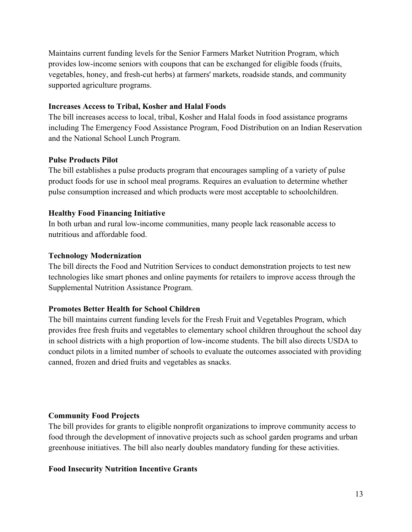Maintains current funding levels for the Senior Farmers Market Nutrition Program, which provides low-income seniors with coupons that can be exchanged for eligible foods (fruits, vegetables, honey, and fresh-cut herbs) at farmers' markets, roadside stands, and community supported agriculture programs.

#### **Increases Access to Tribal, Kosher and Halal Foods**

The bill increases access to local, tribal, Kosher and Halal foods in food assistance programs including The Emergency Food Assistance Program, Food Distribution on an Indian Reservation and the National School Lunch Program.

## **Pulse Products Pilot**

The bill establishes a pulse products program that encourages sampling of a variety of pulse product foods for use in school meal programs. Requires an evaluation to determine whether pulse consumption increased and which products were most acceptable to schoolchildren.

## **Healthy Food Financing Initiative**

In both urban and rural low-income communities, many people lack reasonable access to nutritious and affordable food.

#### **Technology Modernization**

The bill directs the Food and Nutrition Services to conduct demonstration projects to test new technologies like smart phones and online payments for retailers to improve access through the Supplemental Nutrition Assistance Program.

## **Promotes Better Health for School Children**

The bill maintains current funding levels for the Fresh Fruit and Vegetables Program, which provides free fresh fruits and vegetables to elementary school children throughout the school day in school districts with a high proportion of low-income students. The bill also directs USDA to conduct pilots in a limited number of schools to evaluate the outcomes associated with providing canned, frozen and dried fruits and vegetables as snacks.

## **Community Food Projects**

The bill provides for grants to eligible nonprofit organizations to improve community access to food through the development of innovative projects such as school garden programs and urban greenhouse initiatives. The bill also nearly doubles mandatory funding for these activities.

## **Food Insecurity Nutrition Incentive Grants**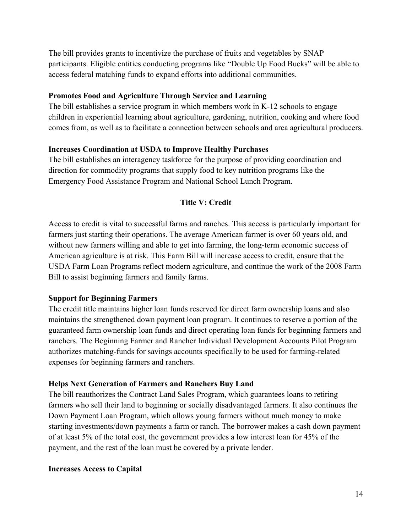The bill provides grants to incentivize the purchase of fruits and vegetables by SNAP participants. Eligible entities conducting programs like "Double Up Food Bucks" will be able to access federal matching funds to expand efforts into additional communities.

#### **Promotes Food and Agriculture Through Service and Learning**

The bill establishes a service program in which members work in K-12 schools to engage children in experiential learning about agriculture, gardening, nutrition, cooking and where food comes from, as well as to facilitate a connection between schools and area agricultural producers.

#### **Increases Coordination at USDA to Improve Healthy Purchases**

The bill establishes an interagency taskforce for the purpose of providing coordination and direction for commodity programs that supply food to key nutrition programs like the Emergency Food Assistance Program and National School Lunch Program.

## **Title V: Credit**

Access to credit is vital to successful farms and ranches. This access is particularly important for farmers just starting their operations. The average American farmer is over 60 years old, and without new farmers willing and able to get into farming, the long-term economic success of American agriculture is at risk. This Farm Bill will increase access to credit, ensure that the USDA Farm Loan Programs reflect modern agriculture, and continue the work of the 2008 Farm Bill to assist beginning farmers and family farms.

#### **Support for Beginning Farmers**

The credit title maintains higher loan funds reserved for direct farm ownership loans and also maintains the strengthened down payment loan program. It continues to reserve a portion of the guaranteed farm ownership loan funds and direct operating loan funds for beginning farmers and ranchers. The Beginning Farmer and Rancher Individual Development Accounts Pilot Program authorizes matching-funds for savings accounts specifically to be used for farming-related expenses for beginning farmers and ranchers.

#### **Helps Next Generation of Farmers and Ranchers Buy Land**

The bill reauthorizes the Contract Land Sales Program, which guarantees loans to retiring farmers who sell their land to beginning or socially disadvantaged farmers. It also continues the Down Payment Loan Program, which allows young farmers without much money to make starting investments/down payments a farm or ranch. The borrower makes a cash down payment of at least 5% of the total cost, the government provides a low interest loan for 45% of the payment, and the rest of the loan must be covered by a private lender.

#### **Increases Access to Capital**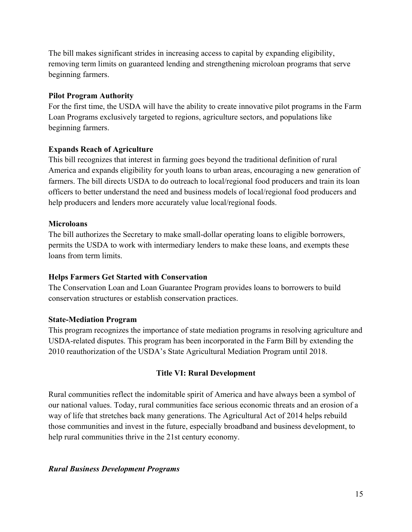The bill makes significant strides in increasing access to capital by expanding eligibility, removing term limits on guaranteed lending and strengthening microloan programs that serve beginning farmers.

## **Pilot Program Authority**

For the first time, the USDA will have the ability to create innovative pilot programs in the Farm Loan Programs exclusively targeted to regions, agriculture sectors, and populations like beginning farmers.

# **Expands Reach of Agriculture**

This bill recognizes that interest in farming goes beyond the traditional definition of rural America and expands eligibility for youth loans to urban areas, encouraging a new generation of farmers. The bill directs USDA to do outreach to local/regional food producers and train its loan officers to better understand the need and business models of local/regional food producers and help producers and lenders more accurately value local/regional foods.

# **Microloans**

The bill authorizes the Secretary to make small-dollar operating loans to eligible borrowers, permits the USDA to work with intermediary lenders to make these loans, and exempts these loans from term limits.

# **Helps Farmers Get Started with Conservation**

The Conservation Loan and Loan Guarantee Program provides loans to borrowers to build conservation structures or establish conservation practices.

# **State-Mediation Program**

This program recognizes the importance of state mediation programs in resolving agriculture and USDA-related disputes. This program has been incorporated in the Farm Bill by extending the 2010 reauthorization of the USDA's State Agricultural Mediation Program until 2018.

# **Title VI: Rural Development**

Rural communities reflect the indomitable spirit of America and have always been a symbol of our national values. Today, rural communities face serious economic threats and an erosion of a way of life that stretches back many generations. The Agricultural Act of 2014 helps rebuild those communities and invest in the future, especially broadband and business development, to help rural communities thrive in the 21st century economy.

# *Rural Business Development Programs*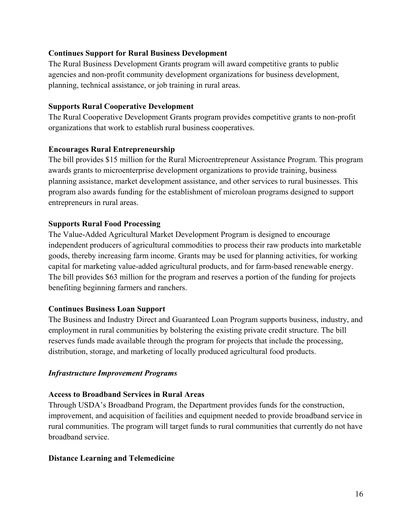## **Continues Support for Rural Business Development**

The Rural Business Development Grants program will award competitive grants to public agencies and non-profit community development organizations for business development, planning, technical assistance, or job training in rural areas.

#### **Supports Rural Cooperative Development**

The Rural Cooperative Development Grants program provides competitive grants to non-profit organizations that work to establish rural business cooperatives.

#### **Encourages Rural Entrepreneurship**

The bill provides \$15 million for the Rural Microentrepreneur Assistance Program. This program awards grants to microenterprise development organizations to provide training, business planning assistance, market development assistance, and other services to rural businesses. This program also awards funding for the establishment of microloan programs designed to support entrepreneurs in rural areas.

#### **Supports Rural Food Processing**

The Value-Added Agricultural Market Development Program is designed to encourage independent producers of agricultural commodities to process their raw products into marketable goods, thereby increasing farm income. Grants may be used for planning activities, for working capital for marketing value-added agricultural products, and for farm-based renewable energy. The bill provides \$63 million for the program and reserves a portion of the funding for projects benefiting beginning farmers and ranchers.

#### **Continues Business Loan Support**

The Business and Industry Direct and Guaranteed Loan Program supports business, industry, and employment in rural communities by bolstering the existing private credit structure. The bill reserves funds made available through the program for projects that include the processing, distribution, storage, and marketing of locally produced agricultural food products.

#### *Infrastructure Improvement Programs*

#### **Access to Broadband Services in Rural Areas**

Through USDA's Broadband Program, the Department provides funds for the construction, improvement, and acquisition of facilities and equipment needed to provide broadband service in rural communities. The program will target funds to rural communities that currently do not have broadband service.

#### **Distance Learning and Telemedicine**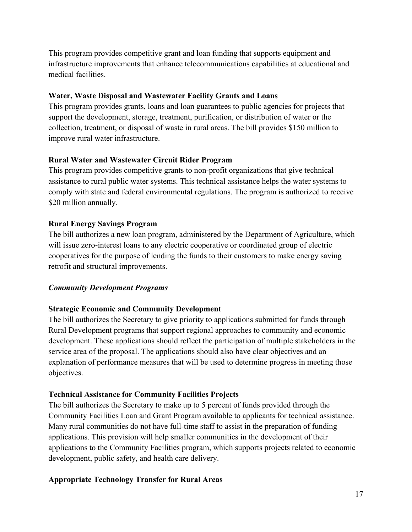This program provides competitive grant and loan funding that supports equipment and infrastructure improvements that enhance telecommunications capabilities at educational and medical facilities.

## **Water, Waste Disposal and Wastewater Facility Grants and Loans**

This program provides grants, loans and loan guarantees to public agencies for projects that support the development, storage, treatment, purification, or distribution of water or the collection, treatment, or disposal of waste in rural areas. The bill provides \$150 million to improve rural water infrastructure.

# **Rural Water and Wastewater Circuit Rider Program**

This program provides competitive grants to non-profit organizations that give technical assistance to rural public water systems. This technical assistance helps the water systems to comply with state and federal environmental regulations. The program is authorized to receive \$20 million annually.

# **Rural Energy Savings Program**

The bill authorizes a new loan program, administered by the Department of Agriculture, which will issue zero-interest loans to any electric cooperative or coordinated group of electric cooperatives for the purpose of lending the funds to their customers to make energy saving retrofit and structural improvements.

# *Community Development Programs*

# **Strategic Economic and Community Development**

The bill authorizes the Secretary to give priority to applications submitted for funds through Rural Development programs that support regional approaches to community and economic development. These applications should reflect the participation of multiple stakeholders in the service area of the proposal. The applications should also have clear objectives and an explanation of performance measures that will be used to determine progress in meeting those objectives.

# **Technical Assistance for Community Facilities Projects**

The bill authorizes the Secretary to make up to 5 percent of funds provided through the Community Facilities Loan and Grant Program available to applicants for technical assistance. Many rural communities do not have full-time staff to assist in the preparation of funding applications. This provision will help smaller communities in the development of their applications to the Community Facilities program, which supports projects related to economic development, public safety, and health care delivery.

# **Appropriate Technology Transfer for Rural Areas**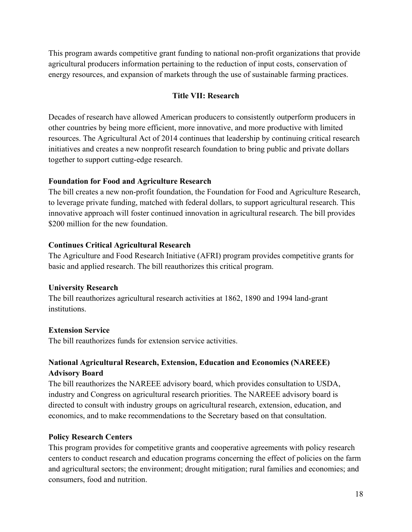This program awards competitive grant funding to national non-profit organizations that provide agricultural producers information pertaining to the reduction of input costs, conservation of energy resources, and expansion of markets through the use of sustainable farming practices.

#### **Title VII: Research**

Decades of research have allowed American producers to consistently outperform producers in other countries by being more efficient, more innovative, and more productive with limited resources. The Agricultural Act of 2014 continues that leadership by continuing critical research initiatives and creates a new nonprofit research foundation to bring public and private dollars together to support cutting-edge research.

#### **Foundation for Food and Agriculture Research**

The bill creates a new non-profit foundation, the Foundation for Food and Agriculture Research, to leverage private funding, matched with federal dollars, to support agricultural research. This innovative approach will foster continued innovation in agricultural research. The bill provides \$200 million for the new foundation.

#### **Continues Critical Agricultural Research**

The Agriculture and Food Research Initiative (AFRI) program provides competitive grants for basic and applied research. The bill reauthorizes this critical program.

#### **University Research**

The bill reauthorizes agricultural research activities at 1862, 1890 and 1994 land-grant institutions.

#### **Extension Service**

The bill reauthorizes funds for extension service activities.

## **National Agricultural Research, Extension, Education and Economics (NAREEE) Advisory Board**

The bill reauthorizes the NAREEE advisory board, which provides consultation to USDA, industry and Congress on agricultural research priorities. The NAREEE advisory board is directed to consult with industry groups on agricultural research, extension, education, and economics, and to make recommendations to the Secretary based on that consultation.

#### **Policy Research Centers**

This program provides for competitive grants and cooperative agreements with policy research centers to conduct research and education programs concerning the effect of policies on the farm and agricultural sectors; the environment; drought mitigation; rural families and economies; and consumers, food and nutrition.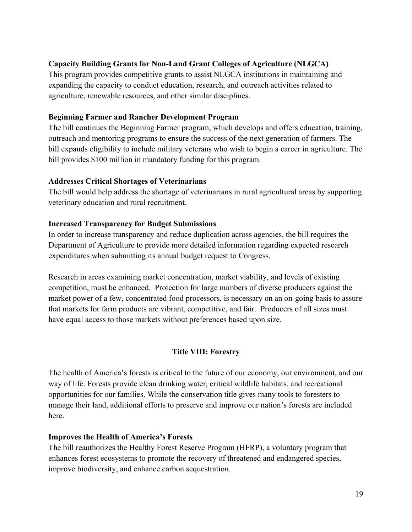# **Capacity Building Grants for Non-Land Grant Colleges of Agriculture (NLGCA)**

This program provides competitive grants to assist NLGCA institutions in maintaining and expanding the capacity to conduct education, research, and outreach activities related to agriculture, renewable resources, and other similar disciplines.

## **Beginning Farmer and Rancher Development Program**

The bill continues the Beginning Farmer program, which develops and offers education, training, outreach and mentoring programs to ensure the success of the next generation of farmers. The bill expands eligibility to include military veterans who wish to begin a career in agriculture. The bill provides \$100 million in mandatory funding for this program.

## **Addresses Critical Shortages of Veterinarians**

The bill would help address the shortage of veterinarians in rural agricultural areas by supporting veterinary education and rural recruitment.

## **Increased Transparency for Budget Submissions**

In order to increase transparency and reduce duplication across agencies, the bill requires the Department of Agriculture to provide more detailed information regarding expected research expenditures when submitting its annual budget request to Congress.

Research in areas examining market concentration, market viability, and levels of existing competition, must be enhanced. Protection for large numbers of diverse producers against the market power of a few, concentrated food processors, is necessary on an on-going basis to assure that markets for farm products are vibrant, competitive, and fair. Producers of all sizes must have equal access to those markets without preferences based upon size.

# **Title VIII: Forestry**

The health of America's forests is critical to the future of our economy, our environment, and our way of life. Forests provide clean drinking water, critical wildlife habitats, and recreational opportunities for our families. While the conservation title gives many tools to foresters to manage their land, additional efforts to preserve and improve our nation's forests are included here.

## **Improves the Health of America's Forests**

The bill reauthorizes the Healthy Forest Reserve Program (HFRP), a voluntary program that enhances forest ecosystems to promote the recovery of threatened and endangered species, improve biodiversity, and enhance carbon sequestration.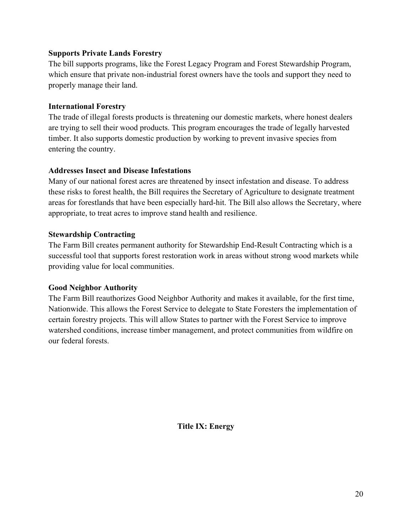## **Supports Private Lands Forestry**

The bill supports programs, like the Forest Legacy Program and Forest Stewardship Program, which ensure that private non-industrial forest owners have the tools and support they need to properly manage their land.

## **International Forestry**

The trade of illegal forests products is threatening our domestic markets, where honest dealers are trying to sell their wood products. This program encourages the trade of legally harvested timber. It also supports domestic production by working to prevent invasive species from entering the country.

## **Addresses Insect and Disease Infestations**

Many of our national forest acres are threatened by insect infestation and disease. To address these risks to forest health, the Bill requires the Secretary of Agriculture to designate treatment areas for forestlands that have been especially hard-hit. The Bill also allows the Secretary, where appropriate, to treat acres to improve stand health and resilience.

## **Stewardship Contracting**

The Farm Bill creates permanent authority for Stewardship End-Result Contracting which is a successful tool that supports forest restoration work in areas without strong wood markets while providing value for local communities.

## **Good Neighbor Authority**

The Farm Bill reauthorizes Good Neighbor Authority and makes it available, for the first time, Nationwide. This allows the Forest Service to delegate to State Foresters the implementation of certain forestry projects. This will allow States to partner with the Forest Service to improve watershed conditions, increase timber management, and protect communities from wildfire on our federal forests.

**Title IX: Energy**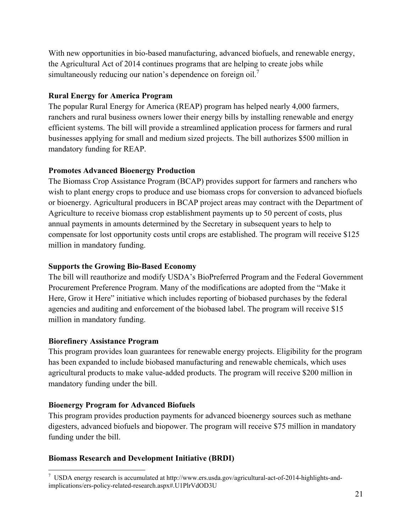With new opportunities in bio-based manufacturing, advanced biofuels, and renewable energy, the Agricultural Act of 2014 continues programs that are helping to create jobs while simultaneously reducing our nation's dependence on foreign oil.<sup>7</sup>

# **Rural Energy for America Program**

The popular Rural Energy for America (REAP) program has helped nearly 4,000 farmers, ranchers and rural business owners lower their energy bills by installing renewable and energy efficient systems. The bill will provide a streamlined application process for farmers and rural businesses applying for small and medium sized projects. The bill authorizes \$500 million in mandatory funding for REAP.

## **Promotes Advanced Bioenergy Production**

The Biomass Crop Assistance Program (BCAP) provides support for farmers and ranchers who wish to plant energy crops to produce and use biomass crops for conversion to advanced biofuels or bioenergy. Agricultural producers in BCAP project areas may contract with the Department of Agriculture to receive biomass crop establishment payments up to 50 percent of costs, plus annual payments in amounts determined by the Secretary in subsequent years to help to compensate for lost opportunity costs until crops are established. The program will receive \$125 million in mandatory funding.

## **Supports the Growing Bio-Based Economy**

The bill will reauthorize and modify USDA's BioPreferred Program and the Federal Government Procurement Preference Program. Many of the modifications are adopted from the "Make it Here, Grow it Here" initiative which includes reporting of biobased purchases by the federal agencies and auditing and enforcement of the biobased label. The program will receive \$15 million in mandatory funding.

## **Biorefinery Assistance Program**

This program provides loan guarantees for renewable energy projects. Eligibility for the program has been expanded to include biobased manufacturing and renewable chemicals, which uses agricultural products to make value-added products. The program will receive \$200 million in mandatory funding under the bill.

# **Bioenergy Program for Advanced Biofuels**

This program provides production payments for advanced bioenergy sources such as methane digesters, advanced biofuels and biopower. The program will receive \$75 million in mandatory funding under the bill.

# **Biomass Research and Development Initiative (BRDI)**

 $\overline{a}$ <sup>7</sup> USDA energy research is accumulated at http://www.ers.usda.gov/agricultural-act-of-2014-highlights-andimplications/ers-policy-related-research.aspx#.U1PlrVdOD3U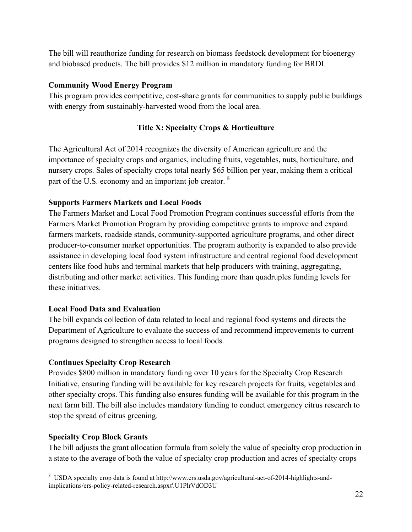The bill will reauthorize funding for research on biomass feedstock development for bioenergy and biobased products. The bill provides \$12 million in mandatory funding for BRDI.

# **Community Wood Energy Program**

This program provides competitive, cost-share grants for communities to supply public buildings with energy from sustainably-harvested wood from the local area.

# **Title X: Specialty Crops & Horticulture**

The Agricultural Act of 2014 recognizes the diversity of American agriculture and the importance of specialty crops and organics, including fruits, vegetables, nuts, horticulture, and nursery crops. Sales of specialty crops total nearly \$65 billion per year, making them a critical part of the U.S. economy and an important job creator. <sup>8</sup>

# **Supports Farmers Markets and Local Foods**

The Farmers Market and Local Food Promotion Program continues successful efforts from the Farmers Market Promotion Program by providing competitive grants to improve and expand farmers markets, roadside stands, community-supported agriculture programs, and other direct producer-to-consumer market opportunities. The program authority is expanded to also provide assistance in developing local food system infrastructure and central regional food development centers like food hubs and terminal markets that help producers with training, aggregating, distributing and other market activities. This funding more than quadruples funding levels for these initiatives.

## **Local Food Data and Evaluation**

The bill expands collection of data related to local and regional food systems and directs the Department of Agriculture to evaluate the success of and recommend improvements to current programs designed to strengthen access to local foods.

# **Continues Specialty Crop Research**

Provides \$800 million in mandatory funding over 10 years for the Specialty Crop Research Initiative, ensuring funding will be available for key research projects for fruits, vegetables and other specialty crops. This funding also ensures funding will be available for this program in the next farm bill. The bill also includes mandatory funding to conduct emergency citrus research to stop the spread of citrus greening.

# **Specialty Crop Block Grants**

The bill adjusts the grant allocation formula from solely the value of specialty crop production in a state to the average of both the value of specialty crop production and acres of specialty crops

 $\overline{a}$ <sup>8</sup> USDA specialty crop data is found at http://www.ers.usda.gov/agricultural-act-of-2014-highlights-andimplications/ers-policy-related-research.aspx#.U1PlrVdOD3U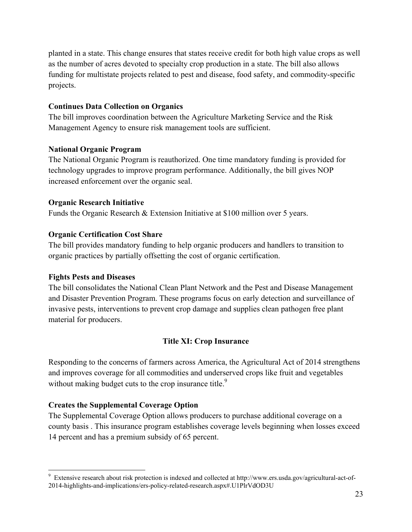planted in a state. This change ensures that states receive credit for both high value crops as well as the number of acres devoted to specialty crop production in a state. The bill also allows funding for multistate projects related to pest and disease, food safety, and commodity-specific projects.

## **Continues Data Collection on Organics**

The bill improves coordination between the Agriculture Marketing Service and the Risk Management Agency to ensure risk management tools are sufficient.

## **National Organic Program**

The National Organic Program is reauthorized. One time mandatory funding is provided for technology upgrades to improve program performance. Additionally, the bill gives NOP increased enforcement over the organic seal.

## **Organic Research Initiative**

Funds the Organic Research & Extension Initiative at \$100 million over 5 years.

## **Organic Certification Cost Share**

The bill provides mandatory funding to help organic producers and handlers to transition to organic practices by partially offsetting the cost of organic certification.

## **Fights Pests and Diseases**

<u>.</u>

The bill consolidates the National Clean Plant Network and the Pest and Disease Management and Disaster Prevention Program. These programs focus on early detection and surveillance of invasive pests, interventions to prevent crop damage and supplies clean pathogen free plant material for producers.

# **Title XI: Crop Insurance**

Responding to the concerns of farmers across America, the Agricultural Act of 2014 strengthens and improves coverage for all commodities and underserved crops like fruit and vegetables without making budget cuts to the crop insurance title.<sup>9</sup>

# **Creates the Supplemental Coverage Option**

The Supplemental Coverage Option allows producers to purchase additional coverage on a county basis . This insurance program establishes coverage levels beginning when losses exceed 14 percent and has a premium subsidy of 65 percent.

<sup>&</sup>lt;sup>9</sup> Extensive research about risk protection is indexed and collected at http://www.ers.usda.gov/agricultural-act-of-2014-highlights-and-implications/ers-policy-related-research.aspx#.U1PlrVdOD3U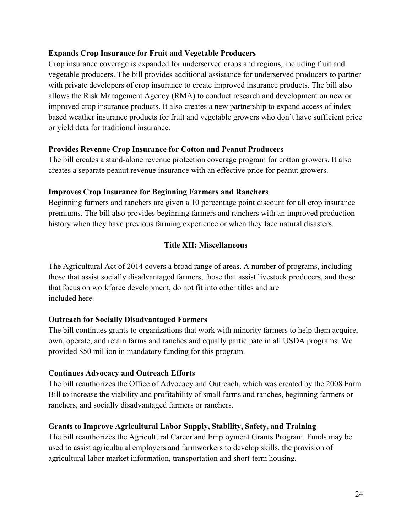## **Expands Crop Insurance for Fruit and Vegetable Producers**

Crop insurance coverage is expanded for underserved crops and regions, including fruit and vegetable producers. The bill provides additional assistance for underserved producers to partner with private developers of crop insurance to create improved insurance products. The bill also allows the Risk Management Agency (RMA) to conduct research and development on new or improved crop insurance products. It also creates a new partnership to expand access of indexbased weather insurance products for fruit and vegetable growers who don't have sufficient price or yield data for traditional insurance.

## **Provides Revenue Crop Insurance for Cotton and Peanut Producers**

The bill creates a stand-alone revenue protection coverage program for cotton growers. It also creates a separate peanut revenue insurance with an effective price for peanut growers.

## **Improves Crop Insurance for Beginning Farmers and Ranchers**

Beginning farmers and ranchers are given a 10 percentage point discount for all crop insurance premiums. The bill also provides beginning farmers and ranchers with an improved production history when they have previous farming experience or when they face natural disasters.

# **Title XII: Miscellaneous**

The Agricultural Act of 2014 covers a broad range of areas. A number of programs, including those that assist socially disadvantaged farmers, those that assist livestock producers, and those that focus on workforce development, do not fit into other titles and are included here.

# **Outreach for Socially Disadvantaged Farmers**

The bill continues grants to organizations that work with minority farmers to help them acquire, own, operate, and retain farms and ranches and equally participate in all USDA programs. We provided \$50 million in mandatory funding for this program.

## **Continues Advocacy and Outreach Efforts**

The bill reauthorizes the Office of Advocacy and Outreach, which was created by the 2008 Farm Bill to increase the viability and profitability of small farms and ranches, beginning farmers or ranchers, and socially disadvantaged farmers or ranchers.

## **Grants to Improve Agricultural Labor Supply, Stability, Safety, and Training**

The bill reauthorizes the Agricultural Career and Employment Grants Program. Funds may be used to assist agricultural employers and farmworkers to develop skills, the provision of agricultural labor market information, transportation and short-term housing.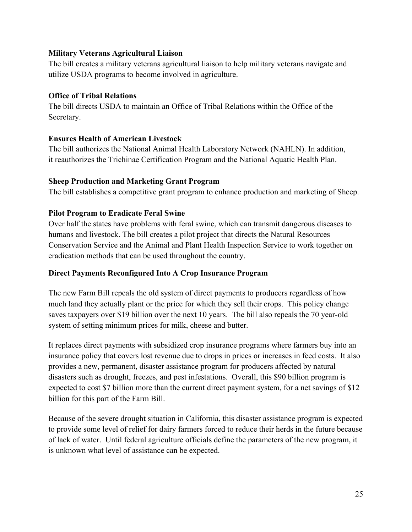## **Military Veterans Agricultural Liaison**

The bill creates a military veterans agricultural liaison to help military veterans navigate and utilize USDA programs to become involved in agriculture.

# **Office of Tribal Relations**

The bill directs USDA to maintain an Office of Tribal Relations within the Office of the Secretary.

# **Ensures Health of American Livestock**

The bill authorizes the National Animal Health Laboratory Network (NAHLN). In addition, it reauthorizes the Trichinae Certification Program and the National Aquatic Health Plan.

## **Sheep Production and Marketing Grant Program**

The bill establishes a competitive grant program to enhance production and marketing of Sheep.

# **Pilot Program to Eradicate Feral Swine**

Over half the states have problems with feral swine, which can transmit dangerous diseases to humans and livestock. The bill creates a pilot project that directs the Natural Resources Conservation Service and the Animal and Plant Health Inspection Service to work together on eradication methods that can be used throughout the country.

## **Direct Payments Reconfigured Into A Crop Insurance Program**

The new Farm Bill repeals the old system of direct payments to producers regardless of how much land they actually plant or the price for which they sell their crops. This policy change saves taxpayers over \$19 billion over the next 10 years. The bill also repeals the 70 year-old system of setting minimum prices for milk, cheese and butter.

It replaces direct payments with subsidized crop insurance programs where farmers buy into an insurance policy that covers lost revenue due to drops in prices or increases in feed costs. It also provides a new, permanent, disaster assistance program for producers affected by natural disasters such as drought, freezes, and pest infestations. Overall, this \$90 billion program is expected to cost \$7 billion more than the current direct payment system, for a net savings of \$12 billion for this part of the Farm Bill.

Because of the severe drought situation in California, this disaster assistance program is expected to provide some level of relief for dairy farmers forced to reduce their herds in the future because of lack of water. Until federal agriculture officials define the parameters of the new program, it is unknown what level of assistance can be expected.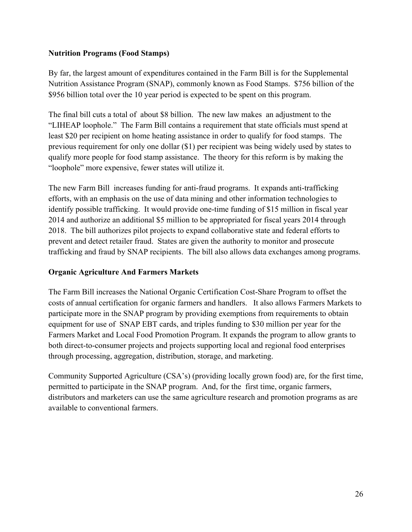## **Nutrition Programs (Food Stamps)**

By far, the largest amount of expenditures contained in the Farm Bill is for the Supplemental Nutrition Assistance Program (SNAP), commonly known as Food Stamps. \$756 billion of the \$956 billion total over the 10 year period is expected to be spent on this program.

The final bill cuts a total of about \$8 billion. The new law makes an adjustment to the "LIHEAP loophole." The Farm Bill contains a requirement that state officials must spend at least \$20 per recipient on home heating assistance in order to qualify for food stamps. The previous requirement for only one dollar (\$1) per recipient was being widely used by states to qualify more people for food stamp assistance. The theory for this reform is by making the "loophole" more expensive, fewer states will utilize it.

The new Farm Bill increases funding for anti-fraud programs. It expands anti-trafficking efforts, with an emphasis on the use of data mining and other information technologies to identify possible trafficking. It would provide one-time funding of \$15 million in fiscal year 2014 and authorize an additional \$5 million to be appropriated for fiscal years 2014 through 2018. The bill authorizes pilot projects to expand collaborative state and federal efforts to prevent and detect retailer fraud. States are given the authority to monitor and prosecute trafficking and fraud by SNAP recipients. The bill also allows data exchanges among programs.

## **Organic Agriculture And Farmers Markets**

The Farm Bill increases the National Organic Certification Cost-Share Program to offset the costs of annual certification for organic farmers and handlers. It also allows Farmers Markets to participate more in the SNAP program by providing exemptions from requirements to obtain equipment for use of SNAP EBT cards, and triples funding to \$30 million per year for the Farmers Market and Local Food Promotion Program. It expands the program to allow grants to both direct-to-consumer projects and projects supporting local and regional food enterprises through processing, aggregation, distribution, storage, and marketing.

Community Supported Agriculture (CSA's) (providing locally grown food) are, for the first time, permitted to participate in the SNAP program. And, for the first time, organic farmers, distributors and marketers can use the same agriculture research and promotion programs as are available to conventional farmers.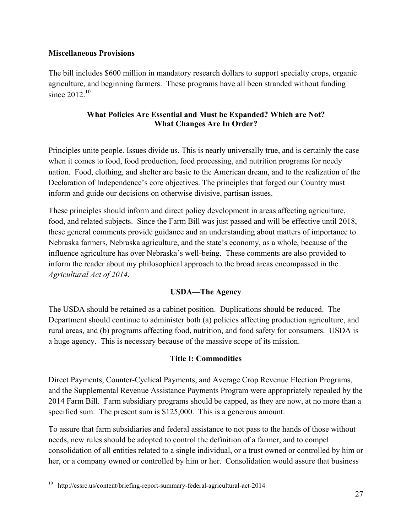## **Miscellaneous Provisions**

The bill includes \$600 million in mandatory research dollars to support specialty crops, organic agriculture, and beginning farmers. These programs have all been stranded without funding since  $2012^{10}$ 

## **What Policies Are Essential and Must be Expanded? Which are Not? What Changes Are In Order?**

Principles unite people. Issues divide us. This is nearly universally true, and is certainly the case when it comes to food, food production, food processing, and nutrition programs for needy nation. Food, clothing, and shelter are basic to the American dream, and to the realization of the Declaration of Independence's core objectives. The principles that forged our Country must inform and guide our decisions on otherwise divisive, partisan issues.

These principles should inform and direct policy development in areas affecting agriculture, food, and related subjects. Since the Farm Bill was just passed and will be effective until 2018, these general comments provide guidance and an understanding about matters of importance to Nebraska farmers, Nebraska agriculture, and the state's economy, as a whole, because of the influence agriculture has over Nebraska's well-being. These comments are also provided to inform the reader about my philosophical approach to the broad areas encompassed in the *Agricultural Act of 2014*.

# **USDA—The Agency**

The USDA should be retained as a cabinet position. Duplications should be reduced. The Department should continue to administer both (a) policies affecting production agriculture, and rural areas, and (b) programs affecting food, nutrition, and food safety for consumers. USDA is a huge agency. This is necessary because of the massive scope of its mission.

# **Title I: Commodities**

Direct Payments, Counter-Cyclical Payments, and Average Crop Revenue Election Programs, and the Supplemental Revenue Assistance Payments Program were appropriately repealed by the 2014 Farm Bill. Farm subsidiary programs should be capped, as they are now, at no more than a specified sum. The present sum is \$125,000. This is a generous amount.

To assure that farm subsidiaries and federal assistance to not pass to the hands of those without needs, new rules should be adopted to control the definition of a farmer, and to compel consolidation of all entities related to a single individual, or a trust owned or controlled by him or her, or a company owned or controlled by him or her. Consolidation would assure that business

 $\overline{a}$ <sup>10</sup> http://cssrc.us/content/briefing-report-summary-federal-agricultural-act-2014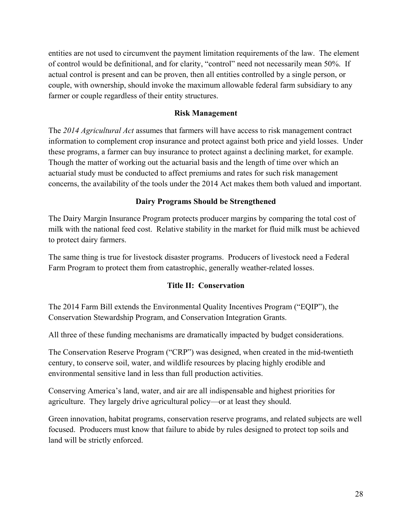entities are not used to circumvent the payment limitation requirements of the law. The element of control would be definitional, and for clarity, "control" need not necessarily mean 50%. If actual control is present and can be proven, then all entities controlled by a single person, or couple, with ownership, should invoke the maximum allowable federal farm subsidiary to any farmer or couple regardless of their entity structures.

#### **Risk Management**

The *2014 Agricultural Act* assumes that farmers will have access to risk management contract information to complement crop insurance and protect against both price and yield losses. Under these programs, a farmer can buy insurance to protect against a declining market, for example. Though the matter of working out the actuarial basis and the length of time over which an actuarial study must be conducted to affect premiums and rates for such risk management concerns, the availability of the tools under the 2014 Act makes them both valued and important.

#### **Dairy Programs Should be Strengthened**

The Dairy Margin Insurance Program protects producer margins by comparing the total cost of milk with the national feed cost. Relative stability in the market for fluid milk must be achieved to protect dairy farmers.

The same thing is true for livestock disaster programs. Producers of livestock need a Federal Farm Program to protect them from catastrophic, generally weather-related losses.

## **Title II: Conservation**

The 2014 Farm Bill extends the Environmental Quality Incentives Program ("EQIP"), the Conservation Stewardship Program, and Conservation Integration Grants.

All three of these funding mechanisms are dramatically impacted by budget considerations.

The Conservation Reserve Program ("CRP") was designed, when created in the mid-twentieth century, to conserve soil, water, and wildlife resources by placing highly erodible and environmental sensitive land in less than full production activities.

Conserving America's land, water, and air are all indispensable and highest priorities for agriculture. They largely drive agricultural policy—or at least they should.

Green innovation, habitat programs, conservation reserve programs, and related subjects are well focused. Producers must know that failure to abide by rules designed to protect top soils and land will be strictly enforced.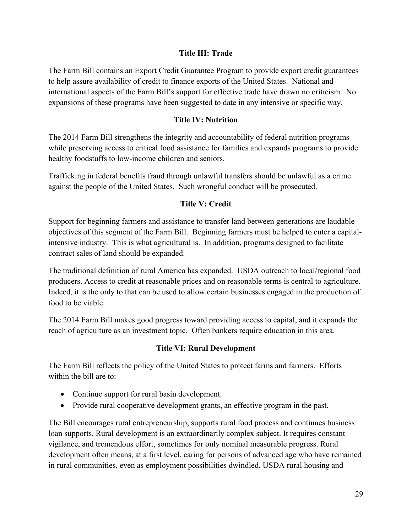## **Title III: Trade**

The Farm Bill contains an Export Credit Guarantee Program to provide export credit guarantees to help assure availability of credit to finance exports of the United States. National and international aspects of the Farm Bill's support for effective trade have drawn no criticism. No expansions of these programs have been suggested to date in any intensive or specific way.

## **Title IV: Nutrition**

The 2014 Farm Bill strengthens the integrity and accountability of federal nutrition programs while preserving access to critical food assistance for families and expands programs to provide healthy foodstuffs to low-income children and seniors.

Trafficking in federal benefits fraud through unlawful transfers should be unlawful as a crime against the people of the United States. Such wrongful conduct will be prosecuted.

## **Title V: Credit**

Support for beginning farmers and assistance to transfer land between generations are laudable objectives of this segment of the Farm Bill. Beginning farmers must be helped to enter a capitalintensive industry. This is what agricultural is. In addition, programs designed to facilitate contract sales of land should be expanded.

The traditional definition of rural America has expanded. USDA outreach to local/regional food producers. Access to credit at reasonable prices and on reasonable terms is central to agriculture. Indeed, it is the only to that can be used to allow certain businesses engaged in the production of food to be viable.

The 2014 Farm Bill makes good progress toward providing access to capital, and it expands the reach of agriculture as an investment topic. Often bankers require education in this area.

## **Title VI: Rural Development**

The Farm Bill reflects the policy of the United States to protect farms and farmers. Efforts within the bill are to:

- Continue support for rural basin development.
- Provide rural cooperative development grants, an effective program in the past.

The Bill encourages rural entrepreneurship, supports rural food process and continues business loan supports. Rural development is an extraordinarily complex subject. It requires constant vigilance, and tremendous effort, sometimes for only nominal measurable progress. Rural development often means, at a first level, caring for persons of advanced age who have remained in rural communities, even as employment possibilities dwindled. USDA rural housing and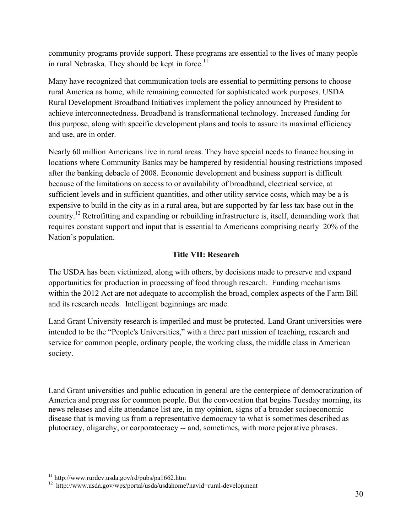community programs provide support. These programs are essential to the lives of many people in rural Nebraska. They should be kept in force.<sup>11</sup>

Many have recognized that communication tools are essential to permitting persons to choose rural America as home, while remaining connected for sophisticated work purposes. USDA Rural Development Broadband Initiatives implement the policy announced by President to achieve interconnectedness. Broadband is transformational technology. Increased funding for this purpose, along with specific development plans and tools to assure its maximal efficiency and use, are in order.

Nearly 60 million Americans live in rural areas. They have special needs to finance housing in locations where Community Banks may be hampered by residential housing restrictions imposed after the banking debacle of 2008. Economic development and business support is difficult because of the limitations on access to or availability of broadband, electrical service, at sufficient levels and in sufficient quantities, and other utility service costs, which may be a is expensive to build in the city as in a rural area, but are supported by far less tax base out in the country.<sup>12</sup> Retrofitting and expanding or rebuilding infrastructure is, itself, demanding work that requires constant support and input that is essential to Americans comprising nearly 20% of the Nation's population.

# **Title VII: Research**

The USDA has been victimized, along with others, by decisions made to preserve and expand opportunities for production in processing of food through research. Funding mechanisms within the 2012 Act are not adequate to accomplish the broad, complex aspects of the Farm Bill and its research needs. Intelligent beginnings are made.

Land Grant University research is imperiled and must be protected. Land Grant universities were intended to be the "People's Universities," with a three part mission of teaching, research and service for common people, ordinary people, the working class, the middle class in American society.

Land Grant universities and public education in general are the centerpiece of democratization of America and progress for common people. But the convocation that begins Tuesday morning, its news releases and elite attendance list are, in my opinion, signs of a broader socioeconomic disease that is moving us from a representative democracy to what is sometimes described as plutocracy, oligarchy, or corporatocracy -- and, sometimes, with more pejorative phrases.

<sup>&</sup>lt;u>.</u>  $11 \text{ http://www.rurdev.usda.gov/rd/pubs/pa1662.htm}$ 

<sup>12</sup> http://www.usda.gov/wps/portal/usda/usdahome?navid=rural-development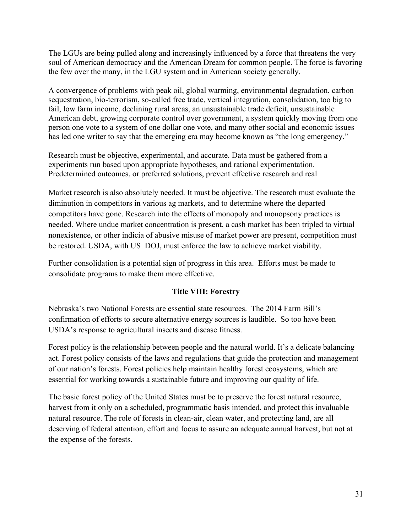The LGUs are being pulled along and increasingly influenced by a force that threatens the very soul of American democracy and the American Dream for common people. The force is favoring the few over the many, in the LGU system and in American society generally.

A convergence of problems with peak oil, global warming, environmental degradation, carbon sequestration, bio-terrorism, so-called free trade, vertical integration, consolidation, too big to fail, low farm income, declining rural areas, an unsustainable trade deficit, unsustainable American debt, growing corporate control over government, a system quickly moving from one person one vote to a system of one dollar one vote, and many other social and economic issues has led one writer to say that the emerging era may become known as "the long emergency."

Research must be objective, experimental, and accurate. Data must be gathered from a experiments run based upon appropriate hypotheses, and rational experimentation. Predetermined outcomes, or preferred solutions, prevent effective research and real

Market research is also absolutely needed. It must be objective. The research must evaluate the diminution in competitors in various ag markets, and to determine where the departed competitors have gone. Research into the effects of monopoly and monopsony practices is needed. Where undue market concentration is present, a cash market has been tripled to virtual nonexistence, or other indicia of abusive misuse of market power are present, competition must be restored. USDA, with US DOJ, must enforce the law to achieve market viability.

Further consolidation is a potential sign of progress in this area. Efforts must be made to consolidate programs to make them more effective.

## **Title VIII: Forestry**

Nebraska's two National Forests are essential state resources. The 2014 Farm Bill's confirmation of efforts to secure alternative energy sources is laudible. So too have been USDA's response to agricultural insects and disease fitness.

Forest policy is the relationship between people and the natural world. It's a delicate balancing act. Forest policy consists of the laws and regulations that guide the protection and management of our nation's forests. Forest policies help maintain healthy forest ecosystems, which are essential for working towards a sustainable future and improving our quality of life.

The basic forest policy of the United States must be to preserve the forest natural resource, harvest from it only on a scheduled, programmatic basis intended, and protect this invaluable natural resource. The role of forests in clean-air, clean water, and protecting land, are all deserving of federal attention, effort and focus to assure an adequate annual harvest, but not at the expense of the forests.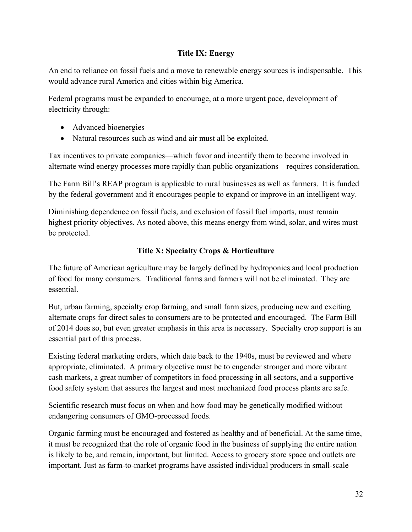# **Title IX: Energy**

An end to reliance on fossil fuels and a move to renewable energy sources is indispensable. This would advance rural America and cities within big America.

Federal programs must be expanded to encourage, at a more urgent pace, development of electricity through:

- Advanced bioenergies
- Natural resources such as wind and air must all be exploited.

Tax incentives to private companies—which favor and incentify them to become involved in alternate wind energy processes more rapidly than public organizations—requires consideration.

The Farm Bill's REAP program is applicable to rural businesses as well as farmers. It is funded by the federal government and it encourages people to expand or improve in an intelligent way.

Diminishing dependence on fossil fuels, and exclusion of fossil fuel imports, must remain highest priority objectives. As noted above, this means energy from wind, solar, and wires must be protected.

# **Title X: Specialty Crops & Horticulture**

The future of American agriculture may be largely defined by hydroponics and local production of food for many consumers. Traditional farms and farmers will not be eliminated. They are essential.

But, urban farming, specialty crop farming, and small farm sizes, producing new and exciting alternate crops for direct sales to consumers are to be protected and encouraged. The Farm Bill of 2014 does so, but even greater emphasis in this area is necessary. Specialty crop support is an essential part of this process.

Existing federal marketing orders, which date back to the 1940s, must be reviewed and where appropriate, eliminated. A primary objective must be to engender stronger and more vibrant cash markets, a great number of competitors in food processing in all sectors, and a supportive food safety system that assures the largest and most mechanized food process plants are safe.

Scientific research must focus on when and how food may be genetically modified without endangering consumers of GMO-processed foods.

Organic farming must be encouraged and fostered as healthy and of beneficial. At the same time, it must be recognized that the role of organic food in the business of supplying the entire nation is likely to be, and remain, important, but limited. Access to grocery store space and outlets are important. Just as farm-to-market programs have assisted individual producers in small-scale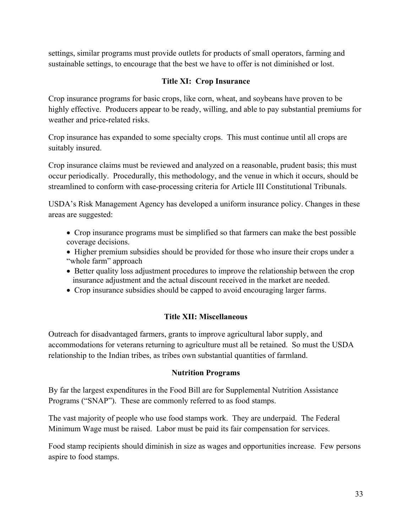settings, similar programs must provide outlets for products of small operators, farming and sustainable settings, to encourage that the best we have to offer is not diminished or lost.

# **Title XI: Crop Insurance**

Crop insurance programs for basic crops, like corn, wheat, and soybeans have proven to be highly effective. Producers appear to be ready, willing, and able to pay substantial premiums for weather and price-related risks.

Crop insurance has expanded to some specialty crops. This must continue until all crops are suitably insured.

Crop insurance claims must be reviewed and analyzed on a reasonable, prudent basis; this must occur periodically. Procedurally, this methodology, and the venue in which it occurs, should be streamlined to conform with case-processing criteria for Article III Constitutional Tribunals.

USDA's Risk Management Agency has developed a uniform insurance policy. Changes in these areas are suggested:

- Crop insurance programs must be simplified so that farmers can make the best possible coverage decisions.
- Higher premium subsidies should be provided for those who insure their crops under a "whole farm" approach
- Better quality loss adjustment procedures to improve the relationship between the crop insurance adjustment and the actual discount received in the market are needed.
- Crop insurance subsidies should be capped to avoid encouraging larger farms.

## **Title XII: Miscellaneous**

Outreach for disadvantaged farmers, grants to improve agricultural labor supply, and accommodations for veterans returning to agriculture must all be retained. So must the USDA relationship to the Indian tribes, as tribes own substantial quantities of farmland.

## **Nutrition Programs**

By far the largest expenditures in the Food Bill are for Supplemental Nutrition Assistance Programs ("SNAP"). These are commonly referred to as food stamps.

The vast majority of people who use food stamps work. They are underpaid. The Federal Minimum Wage must be raised. Labor must be paid its fair compensation for services.

Food stamp recipients should diminish in size as wages and opportunities increase. Few persons aspire to food stamps.